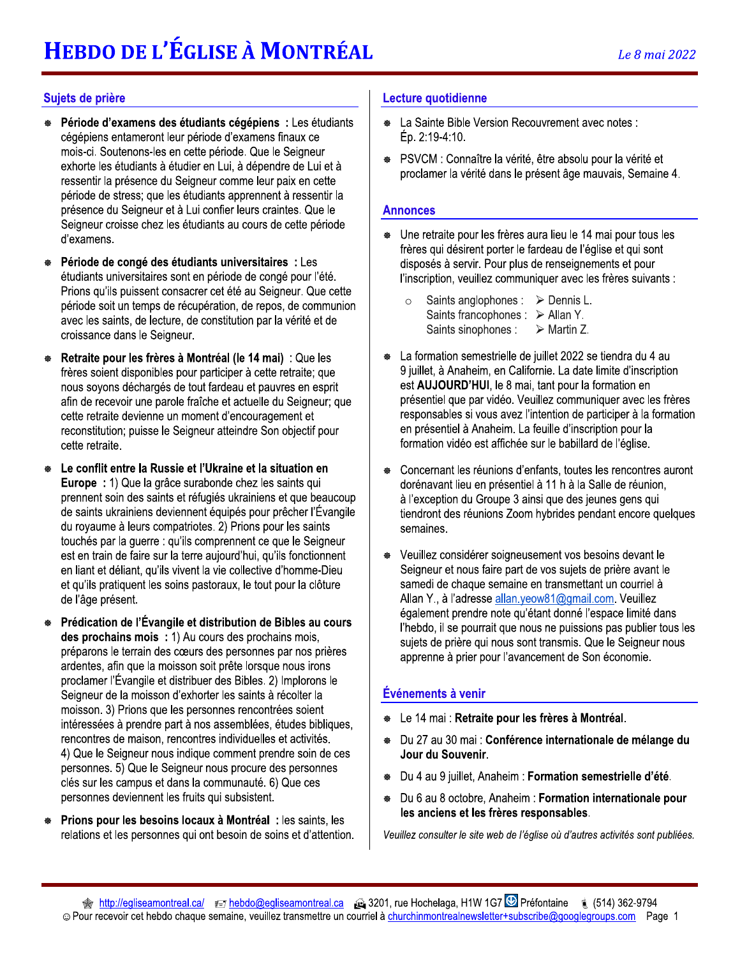# Sujets de prière

- Période d'examens des étudiants cégépiens : Les étudiants ₩ cégépiens entameront leur période d'examens finaux ce mois-ci. Soutenons-les en cette période. Que le Seigneur exhorte les étudiants à étudier en Lui, à dépendre de Lui et à ressentir la présence du Seigneur comme leur paix en cette période de stress; que les étudiants apprennent à ressentir la présence du Seigneur et à Lui confier leurs craintes. Que le Seigneur croisse chez les étudiants au cours de cette période d'examens.
- ₩ Période de congé des étudiants universitaires : Les étudiants universitaires sont en période de congé pour l'été. Prions qu'ils puissent consacrer cet été au Seigneur. Que cette période soit un temps de récupération, de repos, de communion avec les saints, de lecture, de constitution par la vérité et de croissance dans le Seigneur.
- ₩ Retraite pour les frères à Montréal (le 14 mai) : Que les frères soient disponibles pour participer à cette retraite; que nous sovons déchargés de tout fardeau et pauvres en esprit afin de recevoir une parole fraîche et actuelle du Seigneur; que cette retraite devienne un moment d'encouragement et reconstitution; puisse le Seigneur atteindre Son objectif pour cette retraite.
- Le conflit entre la Russie et l'Ukraine et la situation en Europe : 1) Que la grâce surabonde chez les saints qui prennent soin des saints et réfugiés ukrainiens et que beaucoup de saints ukrainiens deviennent équipés pour prêcher l'Évangile du royaume à leurs compatriotes. 2) Prions pour les saints touchés par la guerre : qu'ils comprennent ce que le Seigneur est en train de faire sur la terre aujourd'hui, qu'ils fonctionnent en liant et déliant, qu'ils vivent la vie collective d'homme-Dieu et qu'ils pratiquent les soins pastoraux, le tout pour la clôture de l'âge présent.
- Prédication de l'Évangile et distribution de Bibles au cours des prochains mois : 1) Au cours des prochains mois, préparons le terrain des cœurs des personnes par nos prières ardentes, afin que la moisson soit prête lorsque nous irons proclamer l'Évangile et distribuer des Bibles. 2) Implorons le Seigneur de la moisson d'exhorter les saints à récolter la moisson. 3) Prions que les personnes rencontrées soient intéressées à prendre part à nos assemblées, études bibliques, rencontres de maison, rencontres individuelles et activités. 4) Que le Seigneur nous indique comment prendre soin de ces personnes. 5) Que le Seigneur nous procure des personnes clés sur les campus et dans la communauté. 6) Que ces personnes deviennent les fruits qui subsistent.
- Prions pour les besoins locaux à Montréal : les saints, les relations et les personnes qui ont besoin de soins et d'attention.

## Lecture quotidienne

- La Sainte Bible Version Recouvrement avec notes : Ép. 2:19-4:10.
- \* PSVCM : Connaître la vérité, être absolu pour la vérité et proclamer la vérité dans le présent âge mauvais, Semaine 4.

## **Annonces**

- Une retraite pour les frères aura lieu le 14 mai pour tous les frères qui désirent porter le fardeau de l'église et qui sont disposés à servir. Pour plus de renseignements et pour l'inscription, veuillez communiquer avec les frères suivants :
	- Saints anglophones : > Dennis L. Saints francophones : ≻ Allan Y. Saints sinophones :  $\triangleright$  Martin Z.
- La formation semestrielle de juillet 2022 se tiendra du 4 au 9 juillet, à Anaheim, en Californie. La date limite d'inscription est AUJOURD'HUI, le 8 mai, tant pour la formation en présentiel que par vidéo. Veuillez communiquer avec les frères responsables si vous avez l'intention de participer à la formation en présentiel à Anaheim. La feuille d'inscription pour la formation vidéo est affichée sur le babillard de l'église.
- Concernant les réunions d'enfants, toutes les rencontres auront dorénavant lieu en présentiel à 11 h à la Salle de réunion, à l'exception du Groupe 3 ainsi que des jeunes gens qui tiendront des réunions Zoom hybrides pendant encore quelques semaines.
- <sup>●</sup> Veuillez considérer soigneusement vos besoins devant le Seigneur et nous faire part de vos sujets de prière avant le samedi de chaque semaine en transmettant un courriel à Allan Y., à l'adresse allan. yeow81@gmail.com. Veuillez également prendre note qu'étant donné l'espace limité dans l'hebdo, il se pourrait que nous ne puissions pas publier tous les sujets de prière qui nous sont transmis. Que le Seigneur nous apprenne à prier pour l'avancement de Son économie.

# Événements à venir

- Le 14 mai : Retraite pour les frères à Montréal.
- Du 27 au 30 mai : Conférence internationale de mélange du ₩ Jour du Souvenir.
- Du 4 au 9 juillet, Anaheim : Formation semestrielle d'été.
- Du 6 au 8 octobre, Anaheim: Formation internationale pour les anciens et les frères responsables.

Veuillez consulter le site web de l'église où d'autres activités sont publiées.